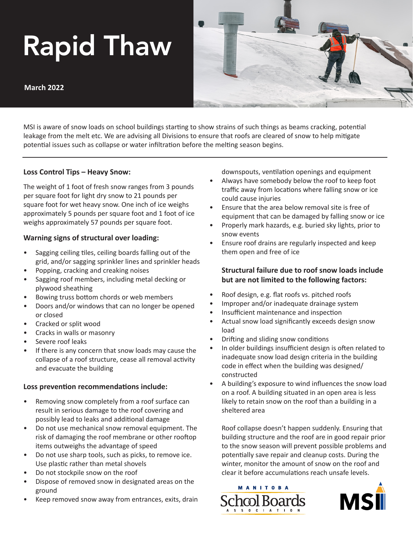# Rapid Thaw

**March 2022**



MSI is aware of snow loads on school buildings starting to show strains of such things as beams cracking, potential leakage from the melt etc. We are advising all Divisions to ensure that roofs are cleared of snow to help mitigate potential issues such as collapse or water infiltration before the melting season begins.

#### **Loss Control Tips – Heavy Snow:**

The weight of 1 foot of fresh snow ranges from 3 pounds per square foot for light dry snow to 21 pounds per square foot for wet heavy snow. One inch of ice weighs approximately 5 pounds per square foot and 1 foot of ice weighs approximately 57 pounds per square foot.

## **Warning signs of structural over loading:**

- Sagging ceiling tiles, ceiling boards falling out of the grid, and/or sagging sprinkler lines and sprinkler heads
- Popping, cracking and creaking noises
- Sagging roof members, including metal decking or plywood sheathing
- Bowing truss bottom chords or web members
- Doors and/or windows that can no longer be opened or closed
- Cracked or split wood
- Cracks in walls or masonry
- Severe roof leaks
- If there is any concern that snow loads may cause the collapse of a roof structure, cease all removal activity and evacuate the building

#### **Loss prevention recommendations include:**

- Removing snow completely from a roof surface can result in serious damage to the roof covering and possibly lead to leaks and additional damage
- Do not use mechanical snow removal equipment. The risk of damaging the roof membrane or other rooftop items outweighs the advantage of speed
- Do not use sharp tools, such as picks, to remove ice. Use plastic rather than metal shovels
- Do not stockpile snow on the roof
- Dispose of removed snow in designated areas on the ground
- Keep removed snow away from entrances, exits, drain

downspouts, ventilation openings and equipment

- Always have somebody below the roof to keep foot traffic away from locations where falling snow or ice could cause injuries
- Ensure that the area below removal site is free of equipment that can be damaged by falling snow or ice
- Properly mark hazards, e.g. buried sky lights, prior to snow events
- Ensure roof drains are regularly inspected and keep them open and free of ice

# **Structural failure due to roof snow loads include but are not limited to the following factors:**

- Roof design, e.g. flat roofs vs. pitched roofs
- Improper and/or inadequate drainage system
- Insufficient maintenance and inspection
- Actual snow load significantly exceeds design snow load
- Drifting and sliding snow conditions
- In older buildings insufficient design is often related to inadequate snow load design criteria in the building code in effect when the building was designed/ constructed
- A building's exposure to wind influences the snow load on a roof. A building situated in an open area is less likely to retain snow on the roof than a building in a sheltered area

Roof collapse doesn't happen suddenly. Ensuring that building structure and the roof are in good repair prior to the snow season will prevent possible problems and potentially save repair and cleanup costs. During the winter, monitor the amount of snow on the roof and clear it before accumulations reach unsafe levels.